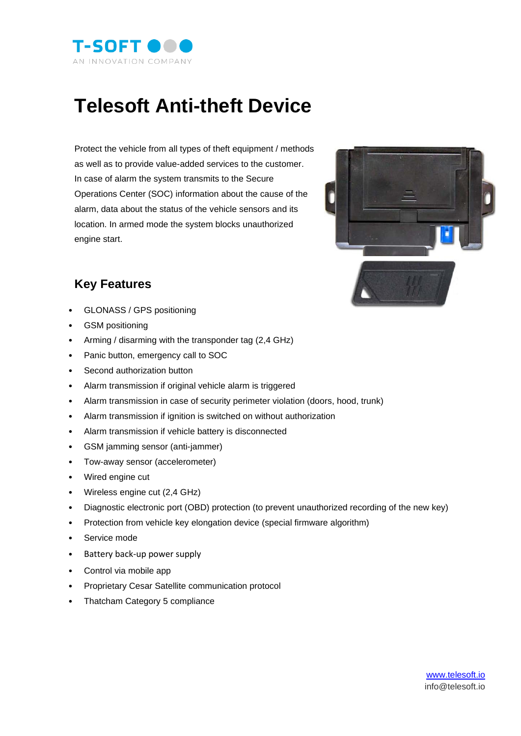

# **Telesoft Anti-theft Device**

Protect the vehicle from all types of theft equipment / methods as well as to provide value-added services to the customer. In case of alarm the system transmits to the Secure Operations Center (SOC) information about the cause of the alarm, data about the status of the vehicle sensors and its location. In armed mode the system blocks unauthorized engine start.



## **Key Features**

- GLONASS / GPS positioning
- GSM positioning
- Arming / disarming with the transponder tag (2,4 GHz)
- Panic button, emergency call to SOC
- Second authorization button
- Alarm transmission if original vehicle alarm is triggered
- Alarm transmission in case of security perimeter violation (doors, hood, trunk)
- Alarm transmission if ignition is switched on without authorization
- Alarm transmission if vehicle battery is disconnected
- GSM jamming sensor (anti-jammer)
- Tow-away sensor (accelerometer)
- Wired engine cut
- Wireless engine cut (2,4 GHz)
- Diagnostic electronic port (OBD) protection (to prevent unauthorized recording of the new key)
- Protection from vehicle key elongation device (special firmware algorithm)
- Service mode
- Battery back-up power supply
- Control via mobile app
- Proprietary Cesar Satellite communication protocol
- Thatcham Category 5 compliance